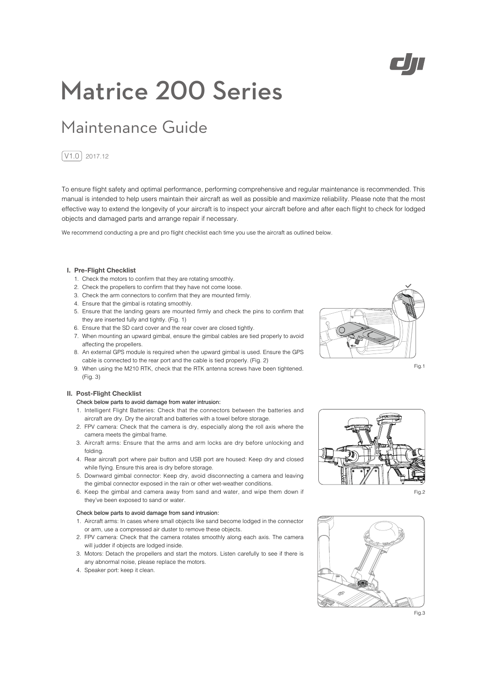

# Matrice 200 Series

## Maintenance Guide

### $\boxed{\text{V1.0}}$  2017.12

To ensure flight safety and optimal performance, performing comprehensive and regular maintenance is recommended. This manual is intended to help users maintain their aircraft as well as possible and maximize reliability. Please note that the most effective way to extend the longevity of your aircraft is to inspect your aircraft before and after each flight to check for lodged objects and damaged parts and arrange repair if necessary.

We recommend conducting a pre and pro flight checklist each time you use the aircraft as outlined below.

#### **I. Pre-Flight Checklist**

- 1. Check the motors to confirm that they are rotating smoothly.
- 2. Check the propellers to confirm that they have not come loose.
- 3. Check the arm connectors to confirm that they are mounted firmly.
- 4. Ensure that the gimbal is rotating smoothly.
- 5. Ensure that the landing gears are mounted firmly and check the pins to confirm that they are inserted fully and tightly. (Fig. 1)
- 6. Ensure that the SD card cover and the rear cover are closed tightly.
- 7. When mounting an upward gimbal, ensure the gimbal cables are tied properly to avoid affecting the propellers.
- 8. An external GPS module is required when the upward gimbal is used. Ensure the GPS cable is connected to the rear port and the cable is tied properly. (Fig. 2)
- 9. When using the M210 RTK, check that the RTK antenna screws have been tightened. (Fig. 3)

#### **II. Post-Flight Checklist**

#### Check below parts to avoid damage from water intrusion:

- 1. Intelligent Flight Batteries: Check that the connectors between the batteries and aircraft are dry. Dry the aircraft and batteries with a towel before storage.
- 2. FPV camera: Check that the camera is dry, especially along the roll axis where the camera meets the gimbal frame.
- 3. Aircraft arms: Ensure that the arms and arm locks are dry before unlocking and folding.
- 4. Rear aircraft port where pair button and USB port are housed: Keep dry and closed while flying. Ensure this area is dry before storage.
- 5. Downward gimbal connector: Keep dry, avoid disconnecting a camera and leaving the gimbal connector exposed in the rain or other wet-weather conditions.
- 6. Keep the gimbal and camera away from sand and water, and wipe them down if they've been exposed to sand or water.

#### Check below parts to avoid damage from sand intrusion:

- 1. Aircraft arms: In cases where small objects like sand become lodged in the connector or arm, use a compressed air duster to remove these objects.
- 2. FPV camera: Check that the camera rotates smoothly along each axis. The camera will judder if objects are lodged inside.
- 3. Motors: Detach the propellers and start the motors. Listen carefully to see if there is any abnormal noise, please replace the motors.
- 4. Speaker port: keep it clean.



Fig.1



Fig.2



Fig.3